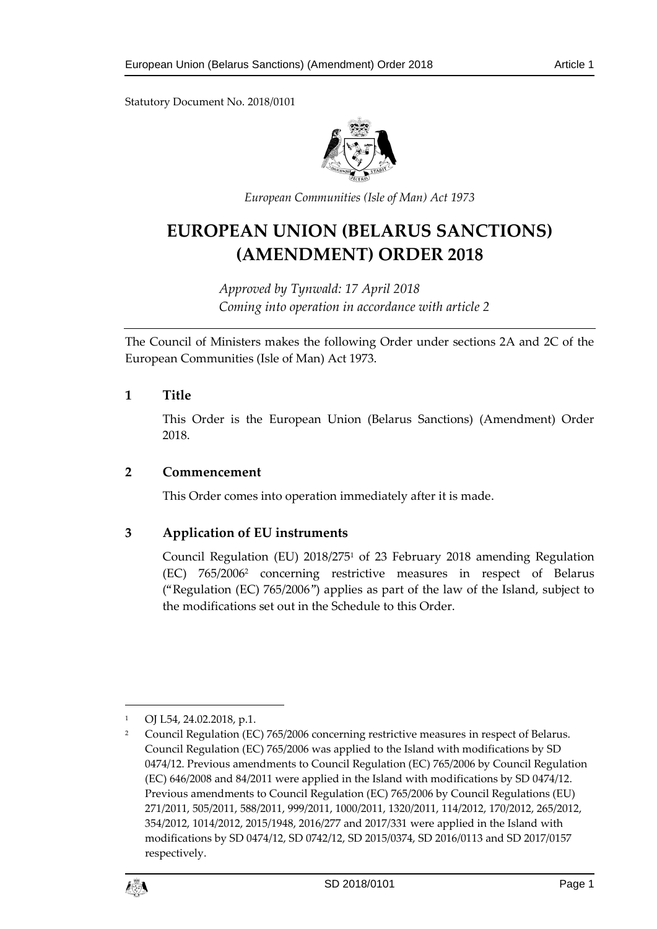Statutory Document No. 2018/0101



*European Communities (Isle of Man) Act 1973*

# **EUROPEAN UNION (BELARUS SANCTIONS) (AMENDMENT) ORDER 2018**

*Approved by Tynwald: 17 April 2018 Coming into operation in accordance with article 2*

The Council of Ministers makes the following Order under sections 2A and 2C of the European Communities (Isle of Man) Act 1973.

#### **1 Title**

This Order is the European Union (Belarus Sanctions) (Amendment) Order 2018.

#### **2 Commencement**

This Order comes into operation immediately after it is made.

## **3 Application of EU instruments**

Council Regulation (EU) 2018/275<sup>1</sup> of 23 February 2018 amending Regulation (EC) 765/2006<sup>2</sup> concerning restrictive measures in respect of Belarus ("Regulation (EC) 765/2006") applies as part of the law of the Island, subject to the modifications set out in the Schedule to this Order.

<sup>&</sup>lt;sup>2</sup> Council Regulation (EC) 765/2006 concerning restrictive measures in respect of Belarus. Council Regulation (EC) 765/2006 was applied to the Island with modifications by SD 0474/12. Previous amendments to Council Regulation (EC) 765/2006 by Council Regulation (EC) 646/2008 and 84/2011 were applied in the Island with modifications by SD 0474/12. Previous amendments to Council Regulation (EC) 765/2006 by Council Regulations (EU) 271/2011, 505/2011, 588/2011, 999/2011, 1000/2011, 1320/2011, 114/2012, 170/2012, 265/2012, 354/2012, 1014/2012, 2015/1948, 2016/277 and 2017/331 were applied in the Island with modifications by SD 0474/12, SD 0742/12, SD 2015/0374, SD 2016/0113 and SD 2017/0157 respectively.



1

OJ L54, 24.02.2018, p.1.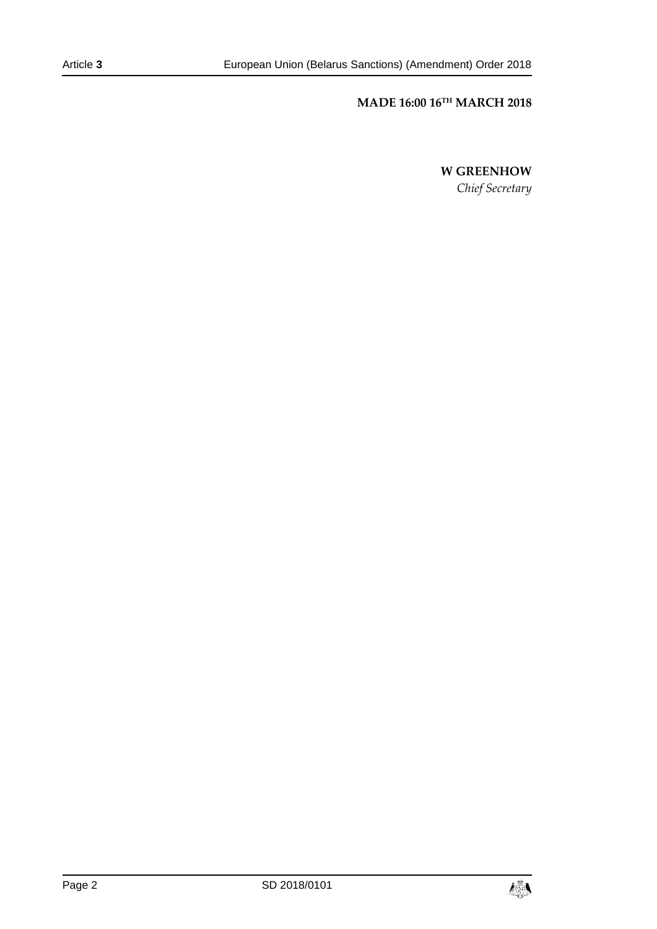# **MADE 16:00 16TH MARCH 2018**

**W GREENHOW**

*Chief Secretary*

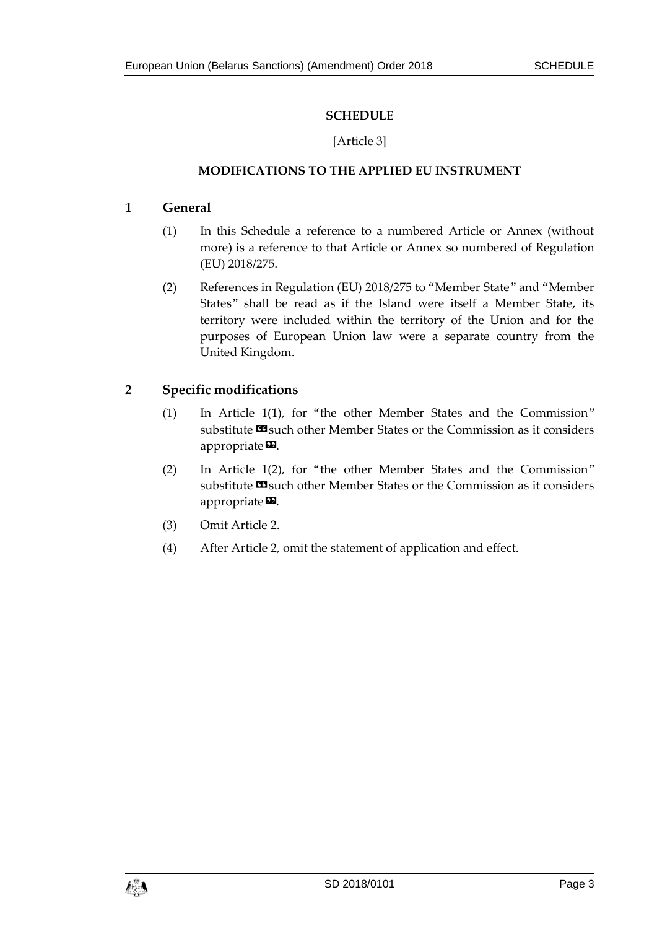# **SCHEDULE**

## [Article 3]

## **MODIFICATIONS TO THE APPLIED EU INSTRUMENT**

### **1 General**

- (1) In this Schedule a reference to a numbered Article or Annex (without more) is a reference to that Article or Annex so numbered of Regulation (EU) 2018/275.
- (2) References in Regulation (EU) 2018/275 to "Member State" and "Member States" shall be read as if the Island were itself a Member State, its territory were included within the territory of the Union and for the purposes of European Union law were a separate country from the United Kingdom.

# **2 Specific modifications**

- (1) In Article 1(1), for "the other Member States and the Commission" substitute **IS** such other Member States or the Commission as it considers appropriate<sup>D</sup>.
- (2) In Article 1(2), for "the other Member States and the Commission" substitute **IS** such other Member States or the Commission as it considers appropriate $\mathbf{E}$ .
- (3) Omit Article 2.
- (4) After Article 2, omit the statement of application and effect.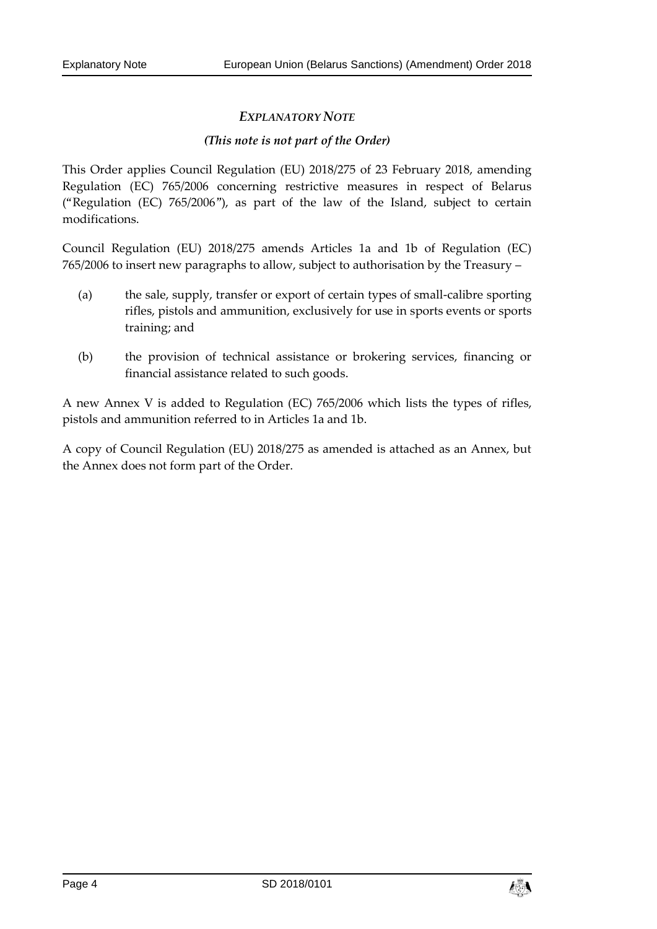# *EXPLANATORY NOTE*

#### *(This note is not part of the Order)*

This Order applies Council Regulation (EU) 2018/275 of 23 February 2018, amending Regulation (EC) 765/2006 concerning restrictive measures in respect of Belarus ("Regulation (EC) 765/2006"), as part of the law of the Island, subject to certain modifications.

Council Regulation (EU) 2018/275 amends Articles 1a and 1b of Regulation (EC) 765/2006 to insert new paragraphs to allow, subject to authorisation by the Treasury –

- (a) the sale, supply, transfer or export of certain types of small-calibre sporting rifles, pistols and ammunition, exclusively for use in sports events or sports training; and
- (b) the provision of technical assistance or brokering services, financing or financial assistance related to such goods.

A new Annex V is added to Regulation (EC) 765/2006 which lists the types of rifles, pistols and ammunition referred to in Articles 1a and 1b.

A copy of Council Regulation (EU) 2018/275 as amended is attached as an Annex, but the Annex does not form part of the Order.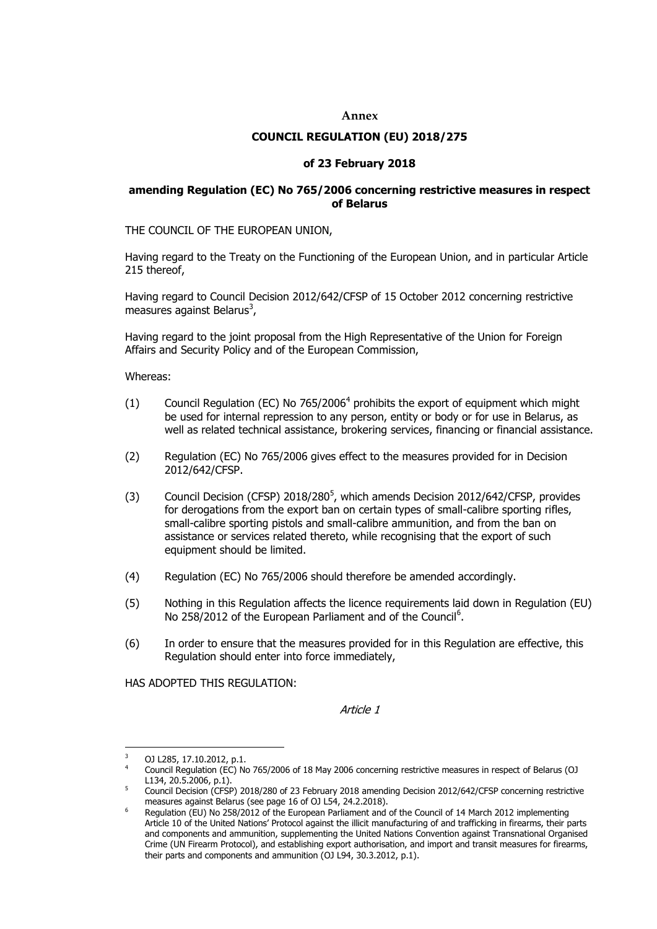#### **Annex**

#### **COUNCIL REGULATION (EU) 2018/275**

#### **of 23 February 2018**

#### **amending Regulation (EC) No 765/2006 concerning restrictive measures in respect of Belarus**

THE COUNCIL OF THE EUROPEAN UNION,

Having regard to the Treaty on the Functioning of the European Union, and in particular Article 215 thereof,

Having regard to Council Decision 2012/642/CFSP of 15 October 2012 concerning restrictive measures against Belarus<sup>3</sup>,

Having regard to the joint proposal from the High Representative of the Union for Foreign Affairs and Security Policy and of the European Commission,

Whereas:

- (1) Council Regulation (EC) No 765/2006<sup>4</sup> prohibits the export of equipment which might be used for internal repression to any person, entity or body or for use in Belarus, as well as related technical assistance, brokering services, financing or financial assistance.
- (2) Regulation (EC) No 765/2006 gives effect to the measures provided for in Decision 2012/642/CFSP.
- $(3)$  Council Decision (CFSP) 2018/280<sup>5</sup>, which amends Decision 2012/642/CFSP, provides for derogations from the export ban on certain types of small-calibre sporting rifles, small-calibre sporting pistols and small-calibre ammunition, and from the ban on assistance or services related thereto, while recognising that the export of such equipment should be limited.
- (4) Regulation (EC) No 765/2006 should therefore be amended accordingly.
- (5) Nothing in this Regulation affects the licence requirements laid down in Regulation (EU) No 258/2012 of the European Parliament and of the Council<sup>6</sup>.
- (6) In order to ensure that the measures provided for in this Regulation are effective, this Regulation should enter into force immediately,

HAS ADOPTED THIS REGULATION:

Article 1

 $\overline{3}$ <sup>3</sup> OJ L285, 17.10.2012, p.1.

<sup>4</sup> Council Regulation (EC) No 765/2006 of 18 May 2006 concerning restrictive measures in respect of Belarus (OJ L134, 20.5.2006, p.1).

<sup>&</sup>lt;sup>5</sup> Council Decision (CFSP) 2018/280 of 23 February 2018 amending Decision 2012/642/CFSP concerning restrictive measures against Belarus (see page 16 of OJ L54, 24.2.2018).

Regulation (EU) No 258/2012 of the European Parliament and of the Council of 14 March 2012 implementing Article 10 of the United Nations' Protocol against the illicit manufacturing of and trafficking in firearms, their parts and components and ammunition, supplementing the United Nations Convention against Transnational Organised Crime (UN Firearm Protocol), and establishing export authorisation, and import and transit measures for firearms, their parts and components and ammunition (OJ L94, 30.3.2012, p.1).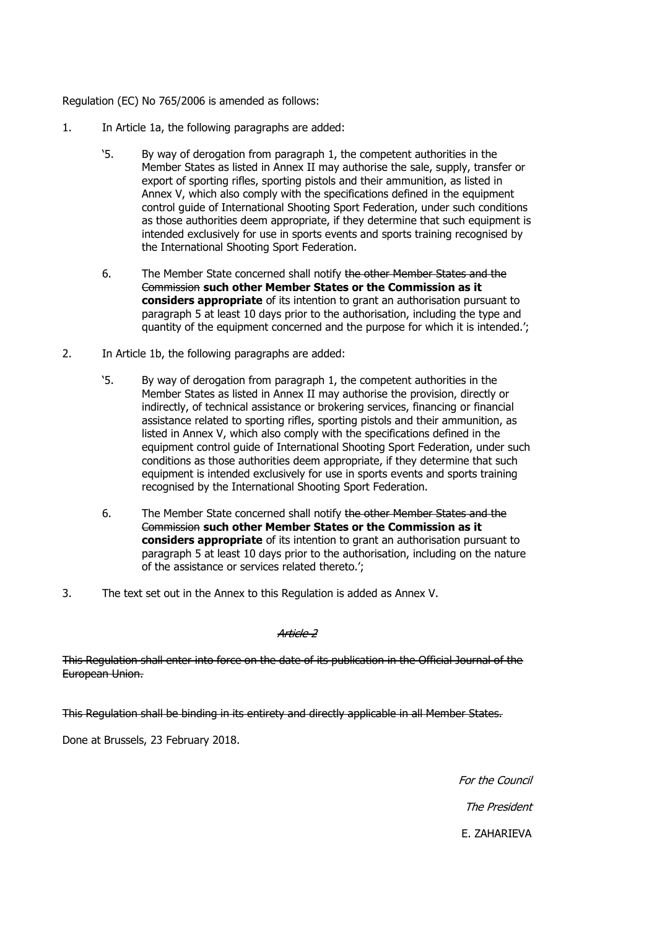Regulation (EC) No 765/2006 is amended as follows:

- 1. In Article 1a, the following paragraphs are added:
	- '5. By way of derogation from paragraph 1, the competent authorities in the Member States as listed in Annex II may authorise the sale, supply, transfer or export of sporting rifles, sporting pistols and their ammunition, as listed in Annex V, which also comply with the specifications defined in the equipment control guide of International Shooting Sport Federation, under such conditions as those authorities deem appropriate, if they determine that such equipment is intended exclusively for use in sports events and sports training recognised by the International Shooting Sport Federation.
	- 6. The Member State concerned shall notify the other Member States and the Commission **such other Member States or the Commission as it considers appropriate** of its intention to grant an authorisation pursuant to paragraph 5 at least 10 days prior to the authorisation, including the type and quantity of the equipment concerned and the purpose for which it is intended.';
- 2. In Article 1b, the following paragraphs are added:
	- '5. By way of derogation from paragraph 1, the competent authorities in the Member States as listed in Annex II may authorise the provision, directly or indirectly, of technical assistance or brokering services, financing or financial assistance related to sporting rifles, sporting pistols and their ammunition, as listed in Annex V, which also comply with the specifications defined in the equipment control guide of International Shooting Sport Federation, under such conditions as those authorities deem appropriate, if they determine that such equipment is intended exclusively for use in sports events and sports training recognised by the International Shooting Sport Federation.
	- 6. The Member State concerned shall notify the other Member States and the Commission **such other Member States or the Commission as it considers appropriate** of its intention to grant an authorisation pursuant to paragraph 5 at least 10 days prior to the authorisation, including on the nature of the assistance or services related thereto.';
- 3. The text set out in the Annex to this Regulation is added as Annex V.

Article 2

This Regulation shall enter into force on the date of its publication in the Official Journal of the European Union.

This Regulation shall be binding in its entirety and directly applicable in all Member States.

Done at Brussels, 23 February 2018.

For the Council The President E. ZAHARIEVA